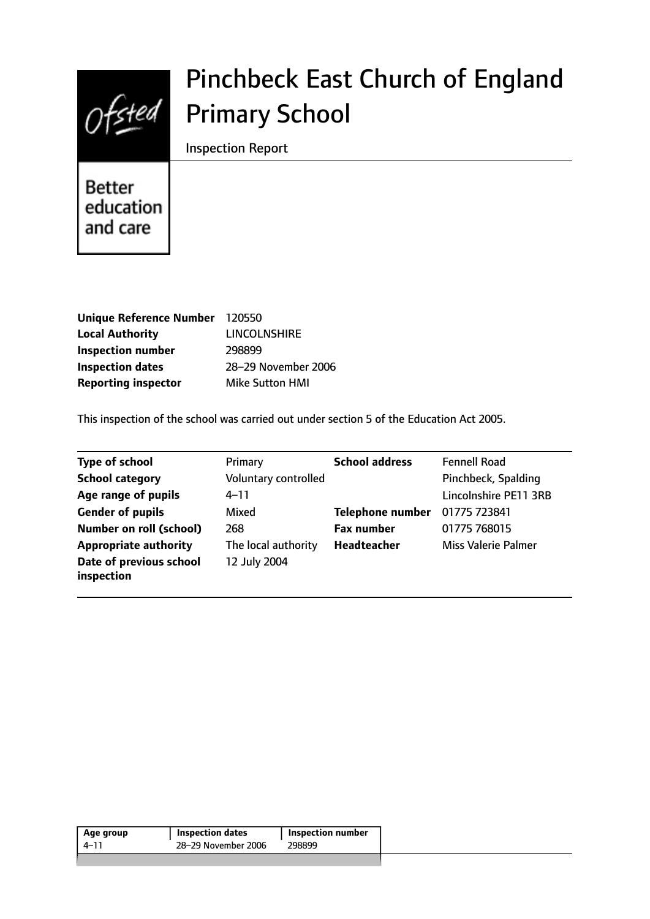

# Pinchbeck East Church of England Primary School

Inspection Report

**Better** education and care

| Unique Reference Number 120550 |                        |
|--------------------------------|------------------------|
| <b>Local Authority</b>         | <b>LINCOLNSHIRE</b>    |
| <b>Inspection number</b>       | 298899                 |
| <b>Inspection dates</b>        | 28-29 November 2006    |
| <b>Reporting inspector</b>     | <b>Mike Sutton HMI</b> |

This inspection of the school was carried out under section 5 of the Education Act 2005.

| <b>Type of school</b>                 | Primary              | <b>School address</b>   | <b>Fennell Road</b>        |
|---------------------------------------|----------------------|-------------------------|----------------------------|
| <b>School category</b>                | Voluntary controlled |                         | Pinchbeck, Spalding        |
| Age range of pupils                   | $4 - 11$             |                         | Lincolnshire PE11 3RB      |
| <b>Gender of pupils</b>               | Mixed                | <b>Telephone number</b> | 01775 723841               |
| <b>Number on roll (school)</b>        | 268                  | <b>Fax number</b>       | 01775 768015               |
| <b>Appropriate authority</b>          | The local authority  | Headteacher             | <b>Miss Valerie Palmer</b> |
| Date of previous school<br>inspection | 12 July 2004         |                         |                            |

| 28–29 November 2006<br>298899<br>4–11 | Age group | <b>Inspection dates</b> | <b>Inspection number</b> |  |
|---------------------------------------|-----------|-------------------------|--------------------------|--|
|                                       |           |                         |                          |  |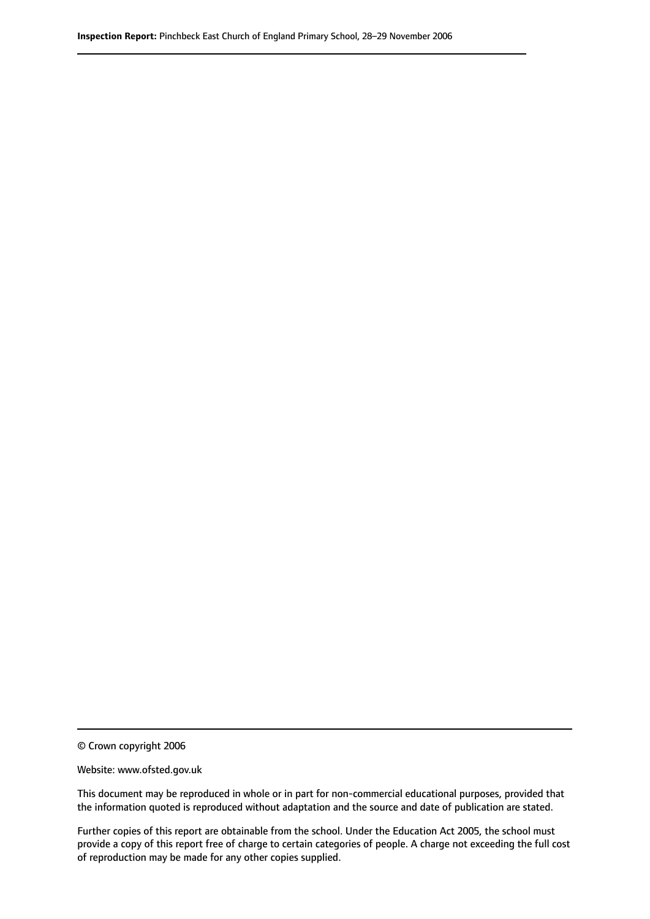© Crown copyright 2006

Website: www.ofsted.gov.uk

This document may be reproduced in whole or in part for non-commercial educational purposes, provided that the information quoted is reproduced without adaptation and the source and date of publication are stated.

Further copies of this report are obtainable from the school. Under the Education Act 2005, the school must provide a copy of this report free of charge to certain categories of people. A charge not exceeding the full cost of reproduction may be made for any other copies supplied.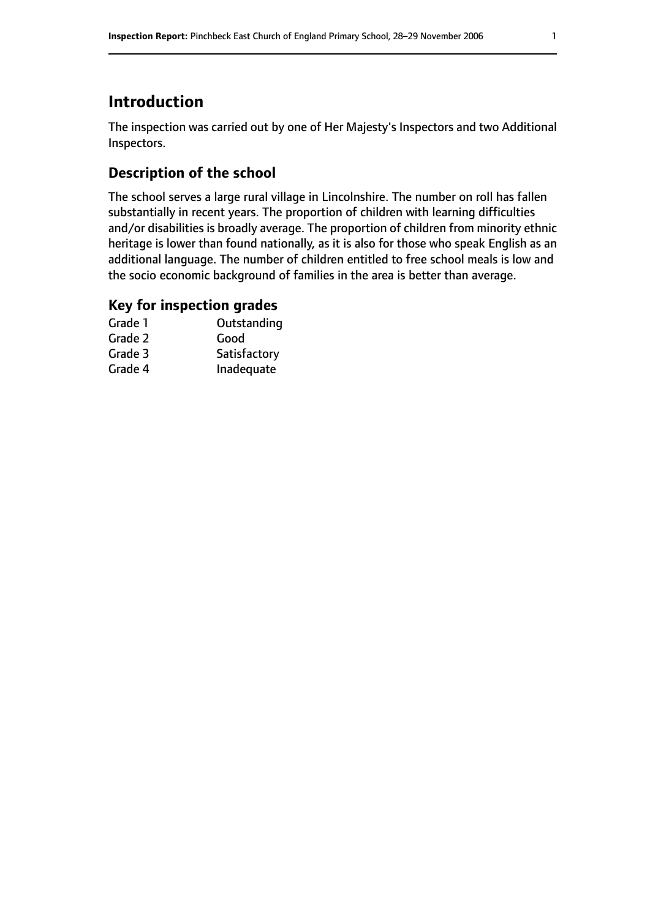# **Introduction**

The inspection was carried out by one of Her Majesty's Inspectors and two Additional Inspectors.

### **Description of the school**

The school serves a large rural village in Lincolnshire. The number on roll has fallen substantially in recent years. The proportion of children with learning difficulties and/or disabilities is broadly average. The proportion of children from minority ethnic heritage is lower than found nationally, as it is also for those who speak English as an additional language. The number of children entitled to free school meals is low and the socio economic background of families in the area is better than average.

#### **Key for inspection grades**

| Grade 1 | Outstanding  |
|---------|--------------|
| Grade 2 | Good         |
| Grade 3 | Satisfactory |
| Grade 4 | Inadequate   |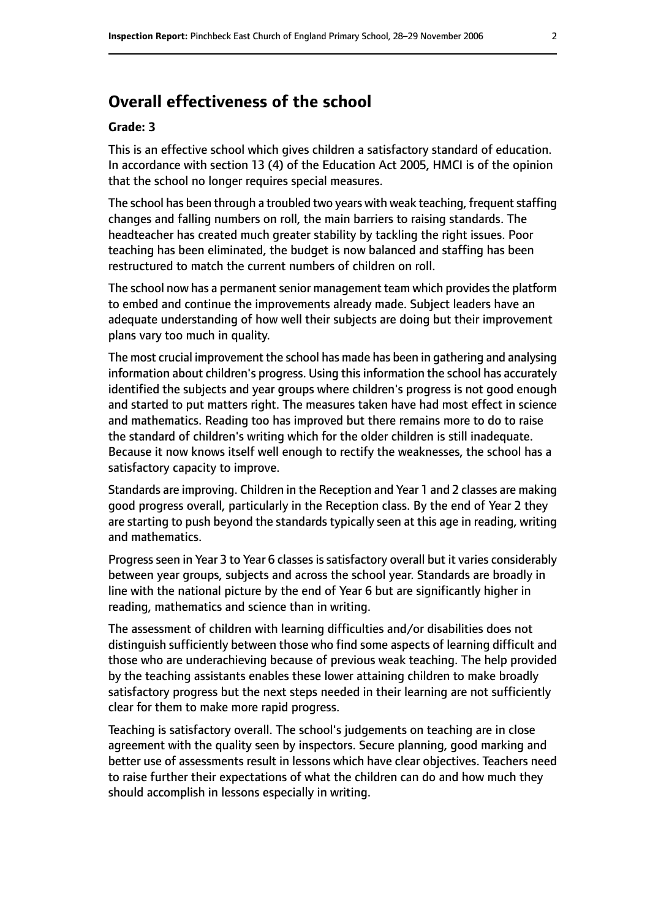## **Overall effectiveness of the school**

#### **Grade: 3**

This is an effective school which gives children a satisfactory standard of education. In accordance with section 13 (4) of the Education Act 2005, HMCI is of the opinion that the school no longer requires special measures.

The school has been through a troubled two years with weak teaching, frequent staffing changes and falling numbers on roll, the main barriers to raising standards. The headteacher has created much greater stability by tackling the right issues. Poor teaching has been eliminated, the budget is now balanced and staffing has been restructured to match the current numbers of children on roll.

The school now has a permanent senior management team which provides the platform to embed and continue the improvements already made. Subject leaders have an adequate understanding of how well their subjects are doing but their improvement plans vary too much in quality.

The most crucial improvement the school has made has been in gathering and analysing information about children's progress. Using this information the school has accurately identified the subjects and year groups where children's progress is not good enough and started to put matters right. The measures taken have had most effect in science and mathematics. Reading too has improved but there remains more to do to raise the standard of children's writing which for the older children is still inadequate. Because it now knows itself well enough to rectify the weaknesses, the school has a satisfactory capacity to improve.

Standards are improving. Children in the Reception and Year 1 and 2 classes are making good progress overall, particularly in the Reception class. By the end of Year 2 they are starting to push beyond the standards typically seen at this age in reading, writing and mathematics.

Progress seen in Year 3 to Year 6 classes is satisfactory overall but it varies considerably between year groups, subjects and across the school year. Standards are broadly in line with the national picture by the end of Year 6 but are significantly higher in reading, mathematics and science than in writing.

The assessment of children with learning difficulties and/or disabilities does not distinguish sufficiently between those who find some aspects of learning difficult and those who are underachieving because of previous weak teaching. The help provided by the teaching assistants enables these lower attaining children to make broadly satisfactory progress but the next steps needed in their learning are not sufficiently clear for them to make more rapid progress.

Teaching is satisfactory overall. The school's judgements on teaching are in close agreement with the quality seen by inspectors. Secure planning, good marking and better use of assessments result in lessons which have clear objectives. Teachers need to raise further their expectations of what the children can do and how much they should accomplish in lessons especially in writing.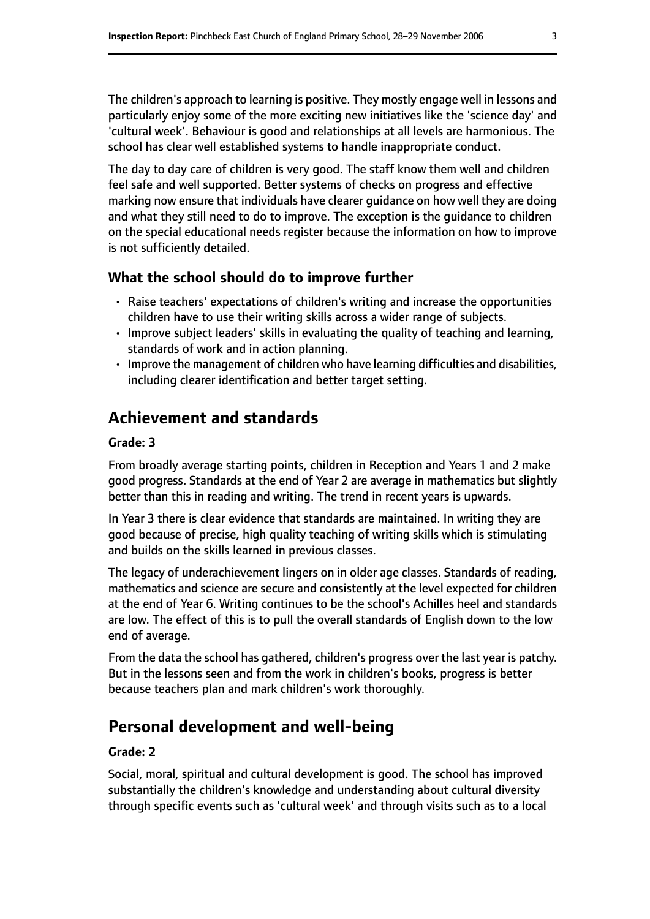The children's approach to learning is positive. They mostly engage well in lessons and particularly enjoy some of the more exciting new initiatives like the 'science day' and 'cultural week'. Behaviour is good and relationships at all levels are harmonious. The school has clear well established systems to handle inappropriate conduct.

The day to day care of children is very good. The staff know them well and children feel safe and well supported. Better systems of checks on progress and effective marking now ensure that individuals have clearer guidance on how well they are doing and what they still need to do to improve. The exception is the guidance to children on the special educational needs register because the information on how to improve is not sufficiently detailed.

#### **What the school should do to improve further**

- Raise teachers' expectations of children's writing and increase the opportunities children have to use their writing skills across a wider range of subjects.
- Improve subject leaders' skills in evaluating the quality of teaching and learning, standards of work and in action planning.
- Improve the management of children who have learning difficulties and disabilities, including clearer identification and better target setting.

# **Achievement and standards**

#### **Grade: 3**

From broadly average starting points, children in Reception and Years 1 and 2 make good progress. Standards at the end of Year 2 are average in mathematics but slightly better than this in reading and writing. The trend in recent years is upwards.

In Year 3 there is clear evidence that standards are maintained. In writing they are good because of precise, high quality teaching of writing skills which is stimulating and builds on the skills learned in previous classes.

The legacy of underachievement lingers on in older age classes. Standards of reading, mathematics and science are secure and consistently at the level expected for children at the end of Year 6. Writing continues to be the school's Achilles heel and standards are low. The effect of this is to pull the overall standards of English down to the low end of average.

From the data the school has gathered, children's progress over the last year is patchy. But in the lessons seen and from the work in children's books, progress is better because teachers plan and mark children's work thoroughly.

# **Personal development and well-being**

#### **Grade: 2**

Social, moral, spiritual and cultural development is good. The school has improved substantially the children's knowledge and understanding about cultural diversity through specific events such as 'cultural week' and through visits such as to a local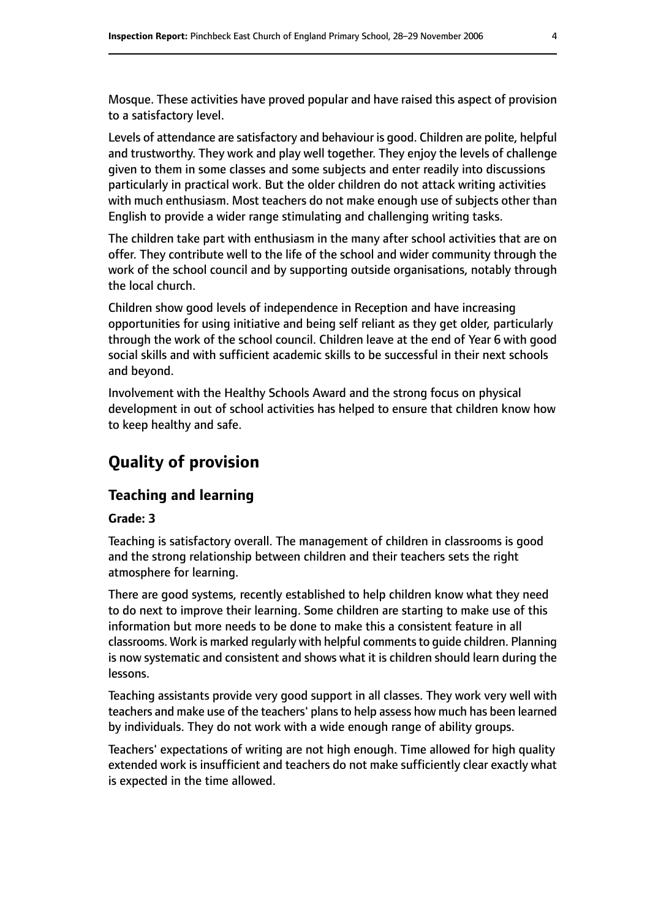Mosque. These activities have proved popular and have raised this aspect of provision to a satisfactory level.

Levels of attendance are satisfactory and behaviour is good. Children are polite, helpful and trustworthy. They work and play well together. They enjoy the levels of challenge given to them in some classes and some subjects and enter readily into discussions particularly in practical work. But the older children do not attack writing activities with much enthusiasm. Most teachers do not make enough use of subjects other than English to provide a wider range stimulating and challenging writing tasks.

The children take part with enthusiasm in the many after school activities that are on offer. They contribute well to the life of the school and wider community through the work of the school council and by supporting outside organisations, notably through the local church.

Children show good levels of independence in Reception and have increasing opportunities for using initiative and being self reliant as they get older, particularly through the work of the school council. Children leave at the end of Year 6 with good social skills and with sufficient academic skills to be successful in their next schools and beyond.

Involvement with the Healthy Schools Award and the strong focus on physical development in out of school activities has helped to ensure that children know how to keep healthy and safe.

# **Quality of provision**

#### **Teaching and learning**

#### **Grade: 3**

Teaching is satisfactory overall. The management of children in classrooms is good and the strong relationship between children and their teachers sets the right atmosphere for learning.

There are good systems, recently established to help children know what they need to do next to improve their learning. Some children are starting to make use of this information but more needs to be done to make this a consistent feature in all classrooms. Work is marked regularly with helpful commentsto guide children. Planning is now systematic and consistent and shows what it is children should learn during the lessons.

Teaching assistants provide very good support in all classes. They work very well with teachers and make use of the teachers' plans to help assess how much has been learned by individuals. They do not work with a wide enough range of ability groups.

Teachers' expectations of writing are not high enough. Time allowed for high quality extended work is insufficient and teachers do not make sufficiently clear exactly what is expected in the time allowed.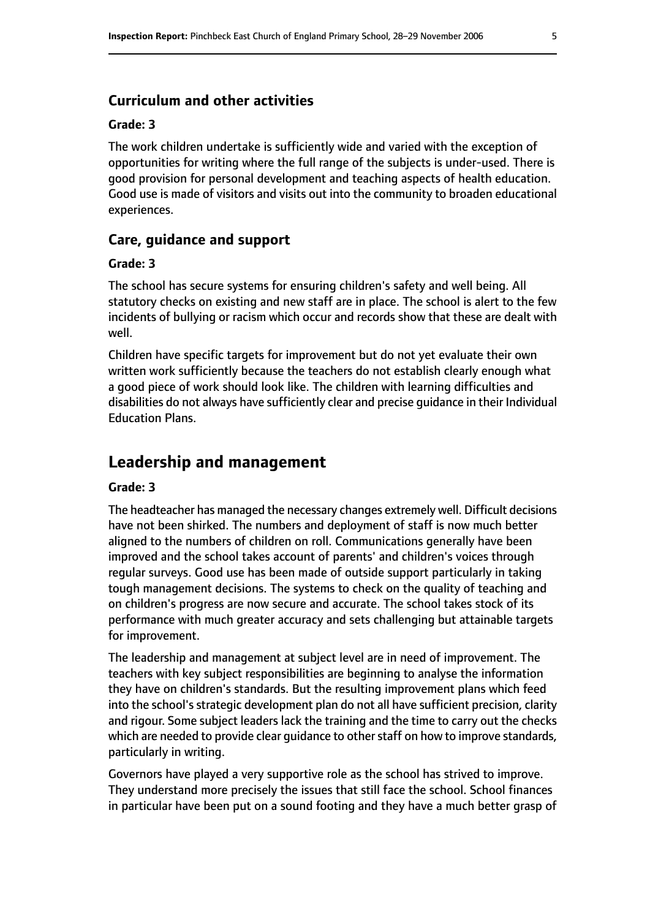#### **Curriculum and other activities**

#### **Grade: 3**

The work children undertake is sufficiently wide and varied with the exception of opportunities for writing where the full range of the subjects is under-used. There is good provision for personal development and teaching aspects of health education. Good use is made of visitors and visits out into the community to broaden educational experiences.

#### **Care, guidance and support**

#### **Grade: 3**

The school has secure systems for ensuring children's safety and well being. All statutory checks on existing and new staff are in place. The school is alert to the few incidents of bullying or racism which occur and records show that these are dealt with well.

Children have specific targets for improvement but do not yet evaluate their own written work sufficiently because the teachers do not establish clearly enough what a good piece of work should look like. The children with learning difficulties and disabilities do not always have sufficiently clear and precise guidance in their Individual Education Plans.

#### **Leadership and management**

#### **Grade: 3**

The headteacher has managed the necessary changes extremely well. Difficult decisions have not been shirked. The numbers and deployment of staff is now much better aligned to the numbers of children on roll. Communications generally have been improved and the school takes account of parents' and children's voices through regular surveys. Good use has been made of outside support particularly in taking tough management decisions. The systems to check on the quality of teaching and on children's progress are now secure and accurate. The school takes stock of its performance with much greater accuracy and sets challenging but attainable targets for improvement.

The leadership and management at subject level are in need of improvement. The teachers with key subject responsibilities are beginning to analyse the information they have on children's standards. But the resulting improvement plans which feed into the school's strategic development plan do not all have sufficient precision, clarity and rigour. Some subject leaders lack the training and the time to carry out the checks which are needed to provide clear quidance to other staff on how to improve standards, particularly in writing.

Governors have played a very supportive role as the school has strived to improve. They understand more precisely the issues that still face the school. School finances in particular have been put on a sound footing and they have a much better grasp of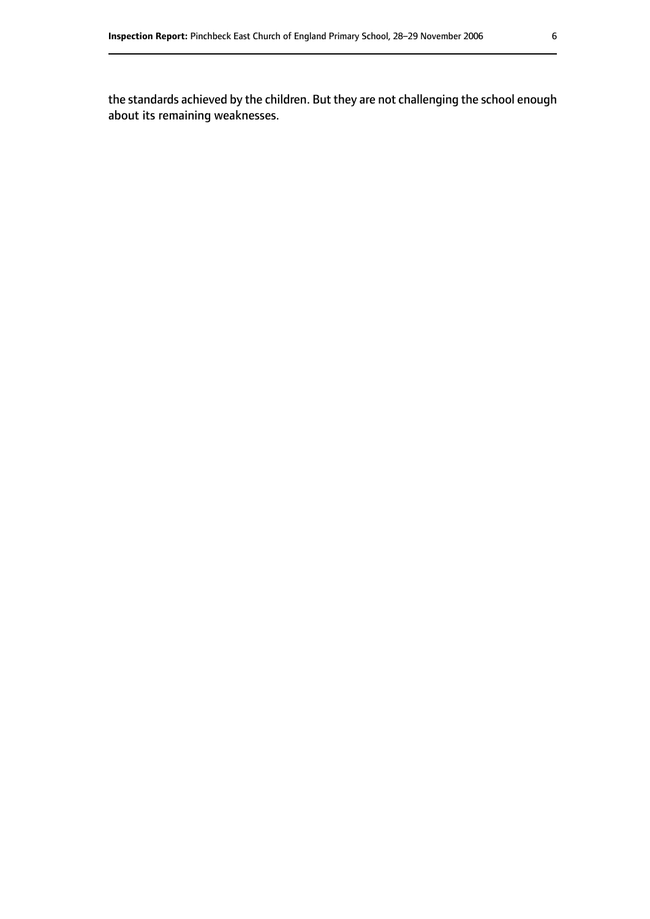the standards achieved by the children. But they are not challenging the school enough about its remaining weaknesses.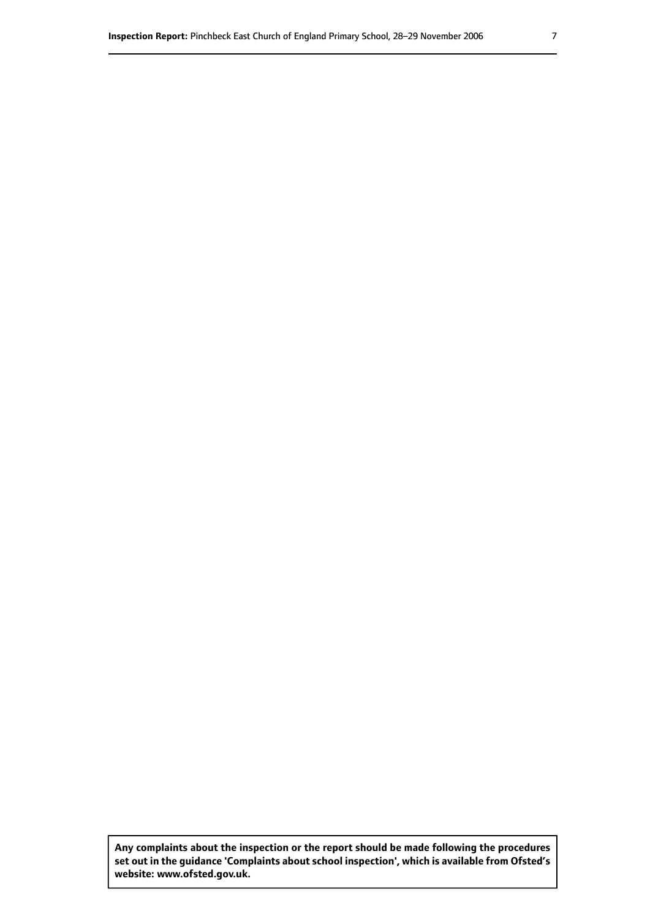**Any complaints about the inspection or the report should be made following the procedures set out inthe guidance 'Complaints about school inspection', whichis available from Ofsted's website: www.ofsted.gov.uk.**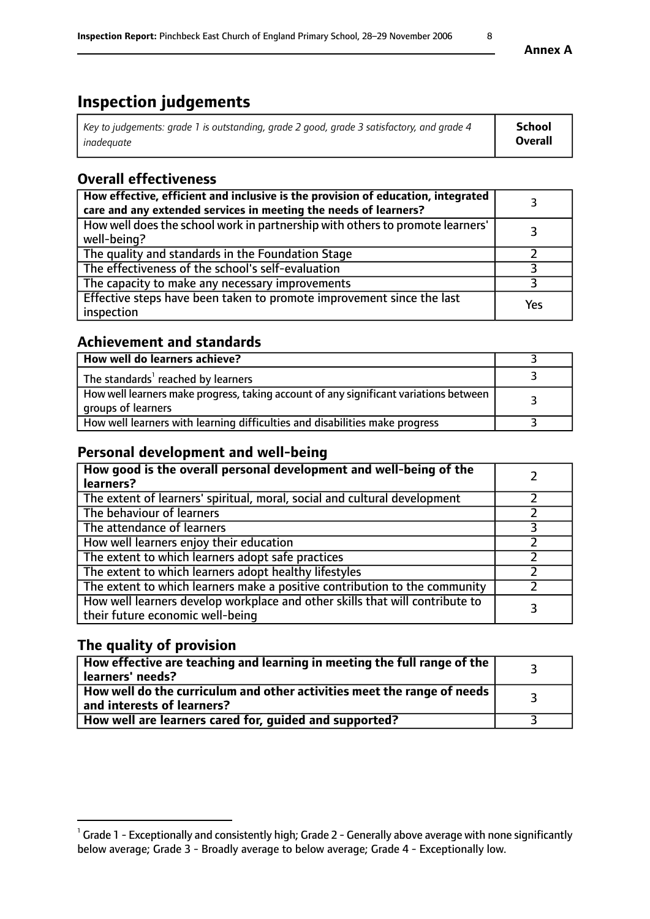# **Inspection judgements**

| Key to judgements: grade 1 is outstanding, grade 2 good, grade 3 satisfactory, and grade 4 | School         |
|--------------------------------------------------------------------------------------------|----------------|
| inadeauate                                                                                 | <b>Overall</b> |

### **Overall effectiveness**

| How effective, efficient and inclusive is the provision of education, integrated<br>care and any extended services in meeting the needs of learners? |     |
|------------------------------------------------------------------------------------------------------------------------------------------------------|-----|
| How well does the school work in partnership with others to promote learners'<br>well-being?                                                         |     |
| The quality and standards in the Foundation Stage                                                                                                    |     |
| The effectiveness of the school's self-evaluation                                                                                                    |     |
| The capacity to make any necessary improvements                                                                                                      |     |
| Effective steps have been taken to promote improvement since the last<br>inspection                                                                  | Yes |

#### **Achievement and standards**

| How well do learners achieve?                                                                               |  |
|-------------------------------------------------------------------------------------------------------------|--|
| The standards <sup>1</sup> reached by learners                                                              |  |
| How well learners make progress, taking account of any significant variations between<br>groups of learners |  |
| How well learners with learning difficulties and disabilities make progress                                 |  |

#### **Personal development and well-being**

| How good is the overall personal development and well-being of the<br>learners?                                  |  |
|------------------------------------------------------------------------------------------------------------------|--|
| The extent of learners' spiritual, moral, social and cultural development                                        |  |
| The behaviour of learners                                                                                        |  |
| The attendance of learners                                                                                       |  |
| How well learners enjoy their education                                                                          |  |
| The extent to which learners adopt safe practices                                                                |  |
| The extent to which learners adopt healthy lifestyles                                                            |  |
| The extent to which learners make a positive contribution to the community                                       |  |
| How well learners develop workplace and other skills that will contribute to<br>their future economic well-being |  |

### **The quality of provision**

| How effective are teaching and learning in meeting the full range of the<br>learners' needs?          |  |
|-------------------------------------------------------------------------------------------------------|--|
| How well do the curriculum and other activities meet the range of needs<br>and interests of learners? |  |
| How well are learners cared for, guided and supported?                                                |  |

 $^1$  Grade 1 - Exceptionally and consistently high; Grade 2 - Generally above average with none significantly below average; Grade 3 - Broadly average to below average; Grade 4 - Exceptionally low.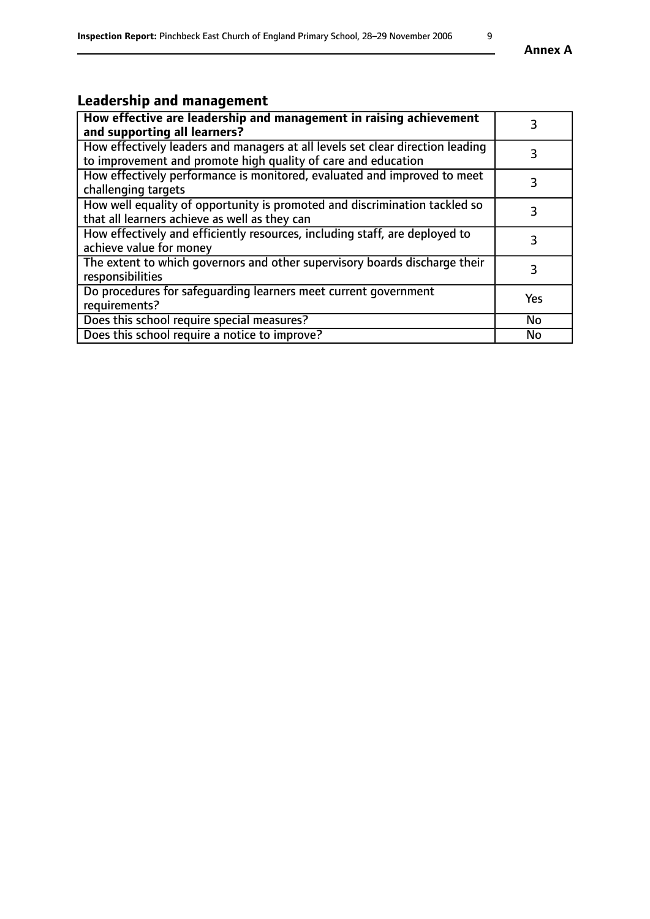# **Leadership and management**

| How effective are leadership and management in raising achievement<br>and supporting all learners?                                              |            |
|-------------------------------------------------------------------------------------------------------------------------------------------------|------------|
| How effectively leaders and managers at all levels set clear direction leading<br>to improvement and promote high quality of care and education |            |
| How effectively performance is monitored, evaluated and improved to meet<br>challenging targets                                                 |            |
| How well equality of opportunity is promoted and discrimination tackled so<br>that all learners achieve as well as they can                     |            |
| How effectively and efficiently resources, including staff, are deployed to<br>achieve value for money                                          | 3          |
| The extent to which governors and other supervisory boards discharge their<br>responsibilities                                                  |            |
| Do procedures for safeguarding learners meet current government<br>requirements?                                                                | <b>Yes</b> |
| Does this school require special measures?                                                                                                      | No         |
| Does this school require a notice to improve?                                                                                                   | <b>No</b>  |